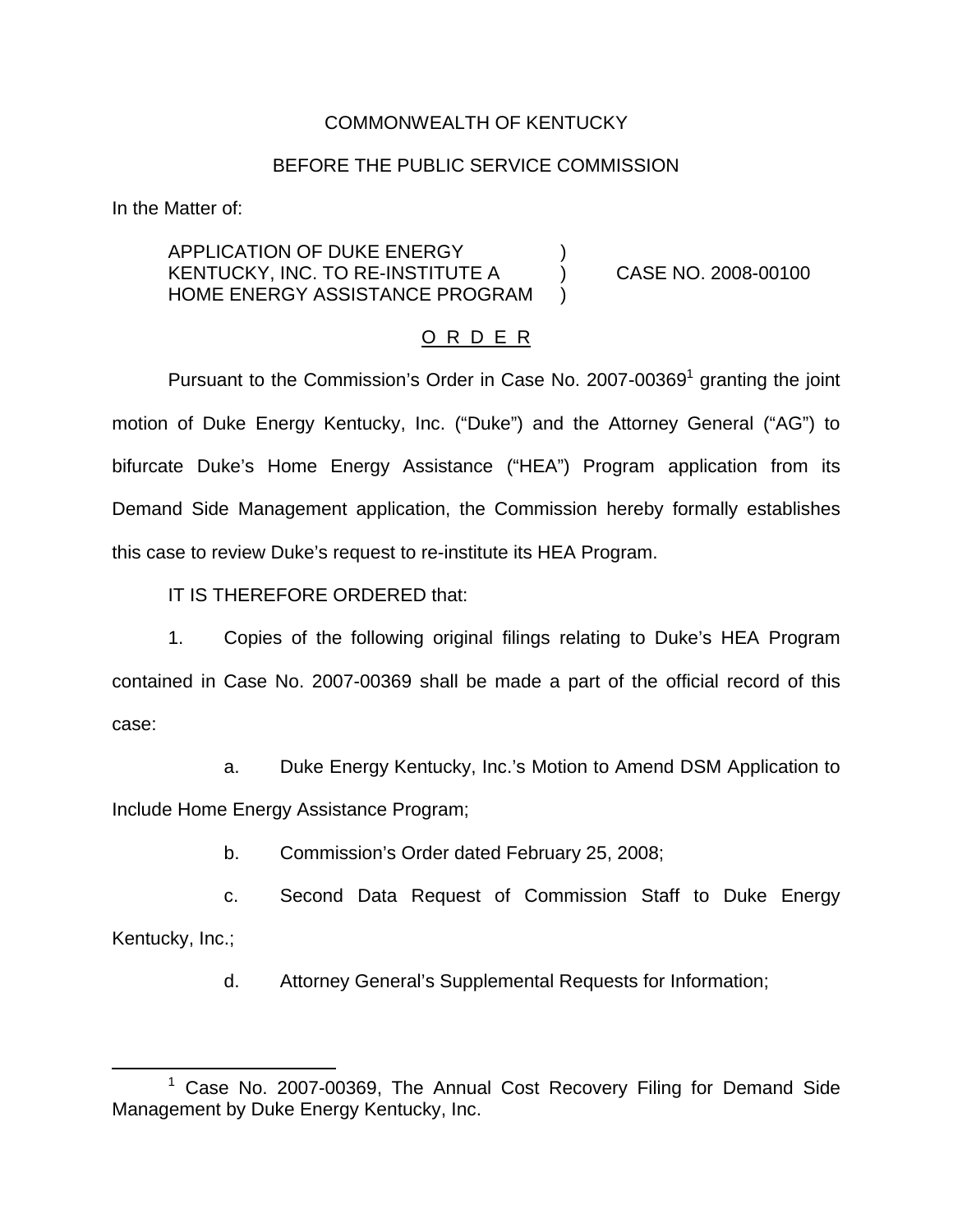## COMMONWEALTH OF KENTUCKY

### BEFORE THE PUBLIC SERVICE COMMISSION

In the Matter of:

APPLICATION OF DUKE ENERGY KENTUCKY, INC. TO RE-INSTITUTE A ) CASE NO. 2008-00100 HOME ENERGY ASSISTANCE PROGRAM

#### O R D E R

Pursuant to the Commission's Order in Case No.  $2007 - 00369$ <sup>1</sup> granting the joint motion of Duke Energy Kentucky, Inc. ("Duke") and the Attorney General ("AG") to bifurcate Duke's Home Energy Assistance ("HEA") Program application from its Demand Side Management application, the Commission hereby formally establishes this case to review Duke's request to re-institute its HEA Program.

IT IS THEREFORE ORDERED that:

1. Copies of the following original filings relating to Duke's HEA Program contained in Case No. 2007-00369 shall be made a part of the official record of this case:

a. Duke Energy Kentucky, Inc.'s Motion to Amend DSM Application to Include Home Energy Assistance Program;

b. Commission's Order dated February 25, 2008;

c. Second Data Request of Commission Staff to Duke Energy Kentucky, Inc.;

d. Attorney General's Supplemental Requests for Information;

 $1$  Case No. 2007-00369, The Annual Cost Recovery Filing for Demand Side Management by Duke Energy Kentucky, Inc.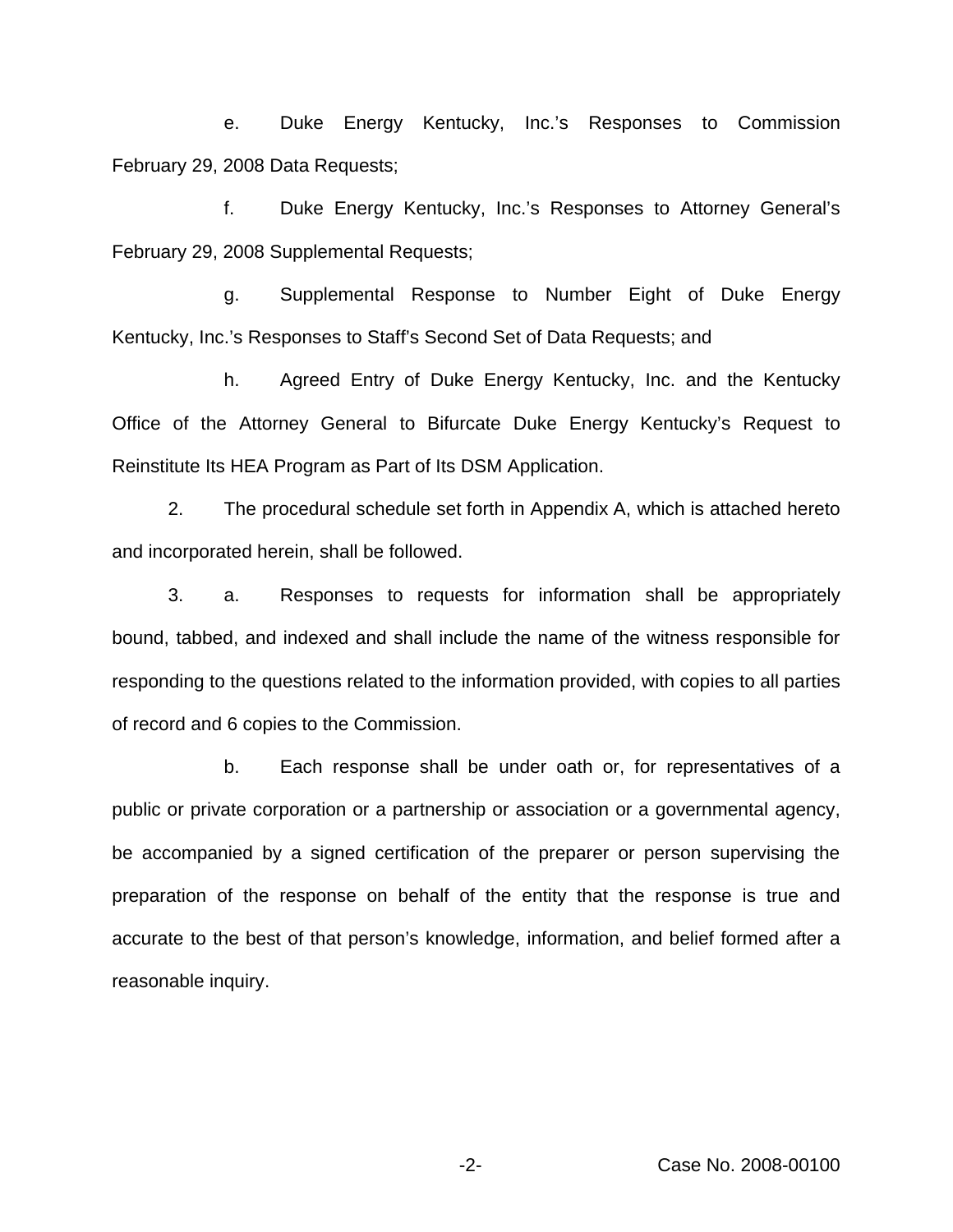e. Duke Energy Kentucky, Inc.'s Responses to Commission February 29, 2008 Data Requests;

f. Duke Energy Kentucky, Inc.'s Responses to Attorney General's February 29, 2008 Supplemental Requests;

g. Supplemental Response to Number Eight of Duke Energy Kentucky, Inc.'s Responses to Staff's Second Set of Data Requests; and

h. Agreed Entry of Duke Energy Kentucky, Inc. and the Kentucky Office of the Attorney General to Bifurcate Duke Energy Kentucky's Request to Reinstitute Its HEA Program as Part of Its DSM Application.

2. The procedural schedule set forth in Appendix A, which is attached hereto and incorporated herein, shall be followed.

3. a. Responses to requests for information shall be appropriately bound, tabbed, and indexed and shall include the name of the witness responsible for responding to the questions related to the information provided, with copies to all parties of record and 6 copies to the Commission.

b. Each response shall be under oath or, for representatives of a public or private corporation or a partnership or association or a governmental agency, be accompanied by a signed certification of the preparer or person supervising the preparation of the response on behalf of the entity that the response is true and accurate to the best of that person's knowledge, information, and belief formed after a reasonable inquiry.

-2- Case No. 2008-00100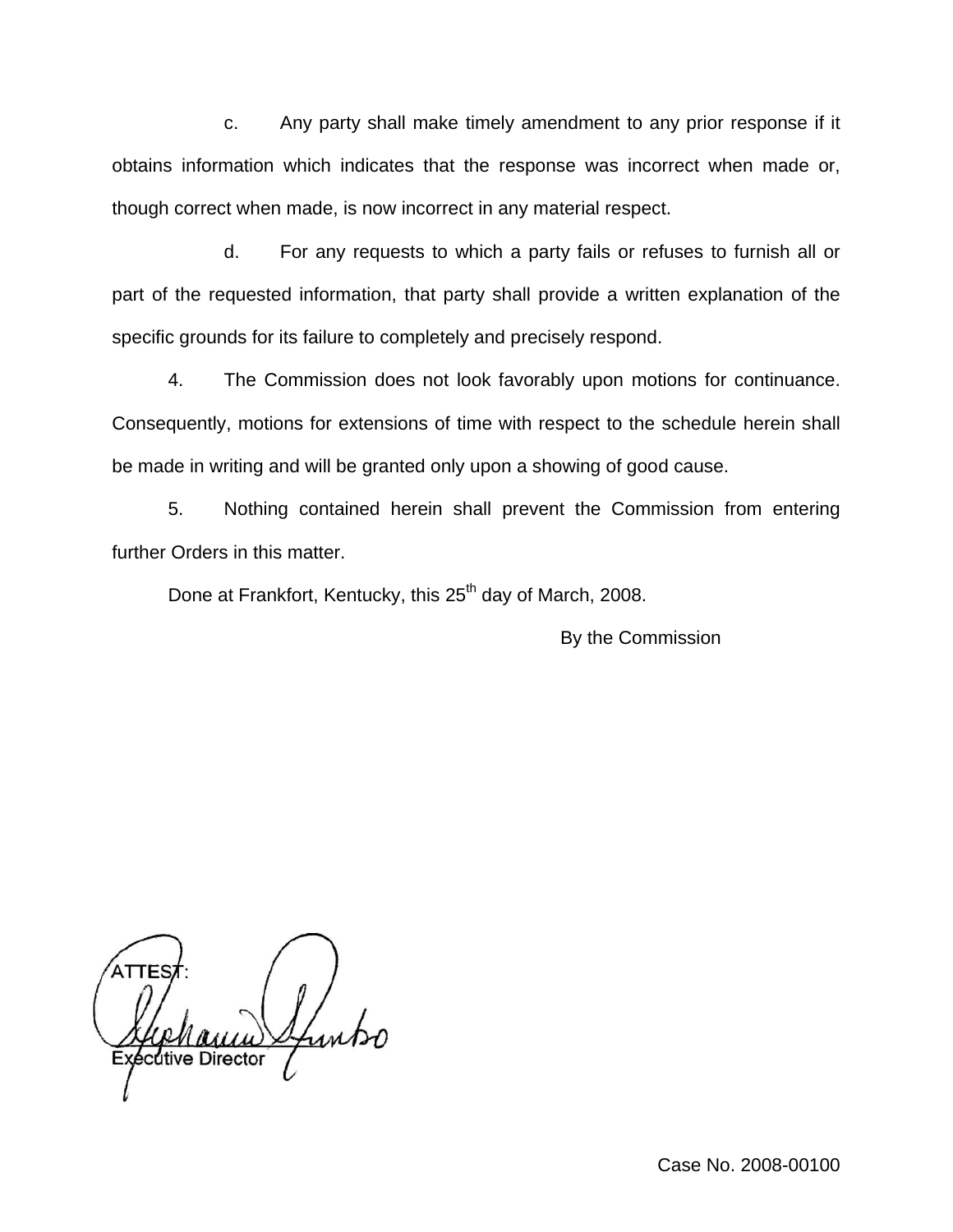c. Any party shall make timely amendment to any prior response if it obtains information which indicates that the response was incorrect when made or, though correct when made, is now incorrect in any material respect.

d. For any requests to which a party fails or refuses to furnish all or part of the requested information, that party shall provide a written explanation of the specific grounds for its failure to completely and precisely respond.

4. The Commission does not look favorably upon motions for continuance. Consequently, motions for extensions of time with respect to the schedule herein shall be made in writing and will be granted only upon a showing of good cause.

5. Nothing contained herein shall prevent the Commission from entering further Orders in this matter.

Done at Frankfort, Kentucky, this 25<sup>th</sup> day of March, 2008.

By the Commission

cutive Director